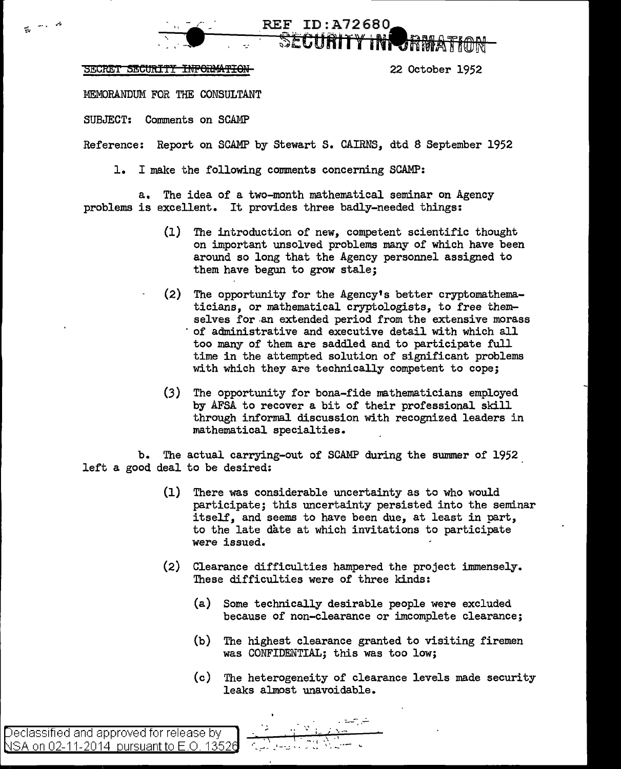SECRET SECURITY INFORMATION 1952

長いの

MEMORAIIDUM FOR THE CONSULTANT

SUBJECT: Comments on SCAMP

Reference: Report on SCAMP by Stewart S. CAIRNS, dtd 8 September 1952

REF ID:A72680 **SECURITY IN** 

1. I make the following comments concerning SCAMP:

a. The idea of a two-month mathematical seminar on Agency problems is excellent. It provides three badly-needed things:

- (1) The introduction of new, competent scientific thought on important unsolved problems many of which have been around so long that the Agency personnel assigned to them have begun to grow stale;
- (2) The opportunity for the Agency's better cryptomathematicians, or mathematical cryptologists, to free themselves for an extended period from the extensive morass of administrative and executive detail with which all too many of them are saddled and to participate full time in the attempted solution of significant problems with which they are technically competent to cope;
- $(3)$  The opportunity for bona-fide mathematicians employed by AFSA to recover a bit of their professional skill through informal discussion with recognized leaders in mathematical specialties.

b. The actual carrying-out of SCAMP during the summer of 1952 left a good deal to be desired:

- (1) There was considerable uncertainty as to who would participate; this uncertainty persisted into the seminar itself, and seems to have been due, at least in part, to the late date at which invitations to participate were issued.
- (2) Clearance difficulties hampered the project immensely. These difficulties were of three kinds:
	- (a) Some technically desirable people were excluded because of non-clearance or imcomplete clearance;
	- (b) The highest clearance granted to visiting firemen was CONFIDENTIAL; this was too low;
	- (c) The heterogeneity of clearance levels made security leaks almost unavoidable.

.<br>بند<sub>ار</sub> جانبا ا

 $\alpha \in \mathcal{V}$  in a single  $\leftarrow$ 

.-.. \_~-l -···---~ ..... -~! \'.. -----

eclassified and approved for release by  $\operatorname{\mathsf{NSA}}$  on 02-11-2014  $\,$  pursuant to E.O. 13526  $\,$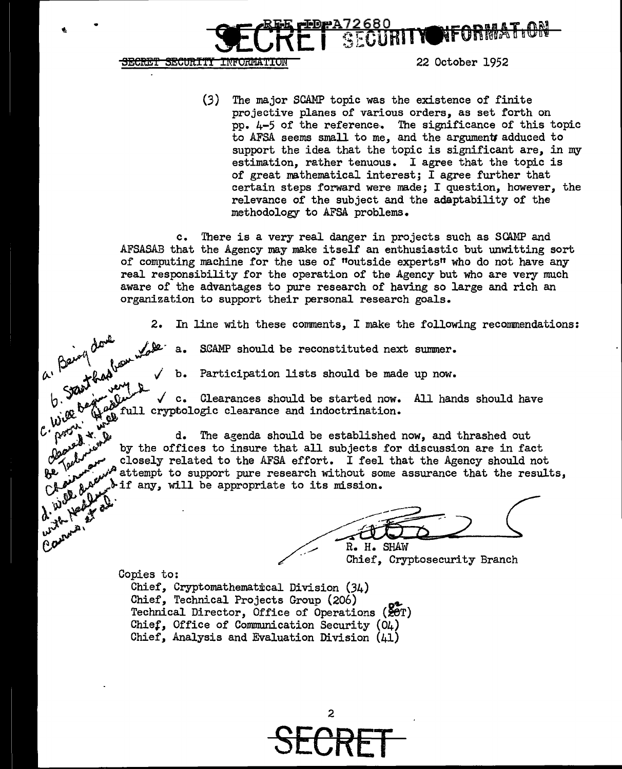SECRET SECURITY INFORMATION

22 October 1952

 $(3)$ The major SCAMP topic was the existence of finite projective planes of various orders, as set forth on pp. 4-5 of the reference. The significance of this topic to AFSA seems small to me, and the arguments adduced to support the idea that the topic is significant are, in my estimation, rather tenuous. I agree that the topic is of great mathematical interest; I agree further that certain steps forward were made; I question, however, the relevance of the subject and the adaptability of the methodology to AFSA problems.

**GURITY** 

c. There is a very real danger in projects such as SCAMP and AFSASAB that the Agency may make itself an enthusiastic but unwitting sort of computing machine for the use of "outside experts" who do not have any real responsibility for the operation of the Agency but who are very much aware of the advantages to pure research of having so large and rich an organization to support their personal research goals.

In line with these comments, I make the following recommendations: 2.

SCAMP should be reconstituted next summer.

Participation lists should be made up now. b.

2.<br>a. Being done work  $\checkmark$  c. Clearances should be started now. All hands should have full cryptologic clearance and indoctrination.

> d. The agenda should be established now, and thrashed out by the offices to insure that all subjects for discussion are in fact closely related to the AFSA effort. I feel that the Agency should not  $\mathscr{P}^{\mathsf{A}}$  attempt to support pure research without some assurance that the results, tif any, will be appropriate to its mission.

R. H. SHAW

Chief, Cryptosecurity Branch

Copies to:

C. Will be

**Postsy.** Cleared t.

Well duckers

under Health

Connais,

Chief, Cryptomathematical Division (34) Chief, Technical Projects Group (206) Technical Director, Office of Operations (20T) Chief, Office of Communication Security (O4) Chief, Analysis and Evaluation Division (41)

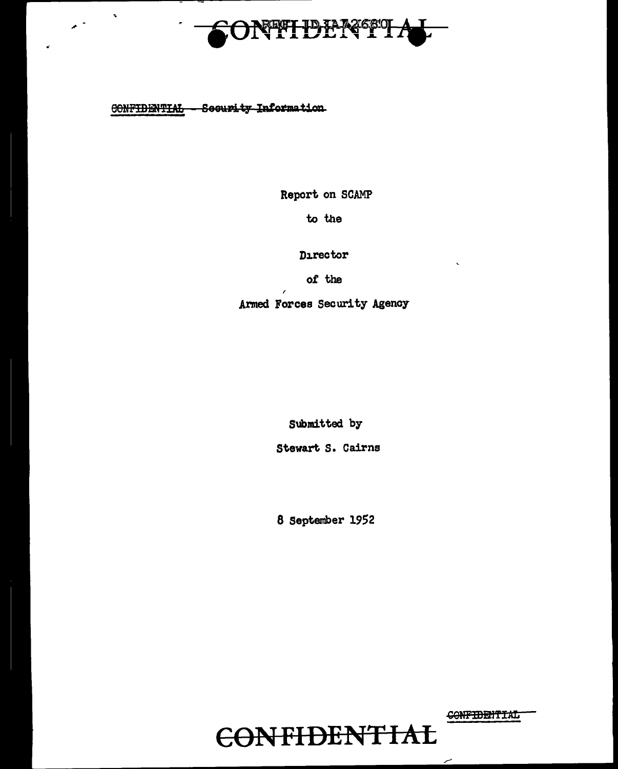

CONFIDENTIAL - Seeurity Information

Report on SCAMP

to the

Director

of the

Armed Forces Security Agency

Submitted by

Stewart S. Cairns

8 September 1952

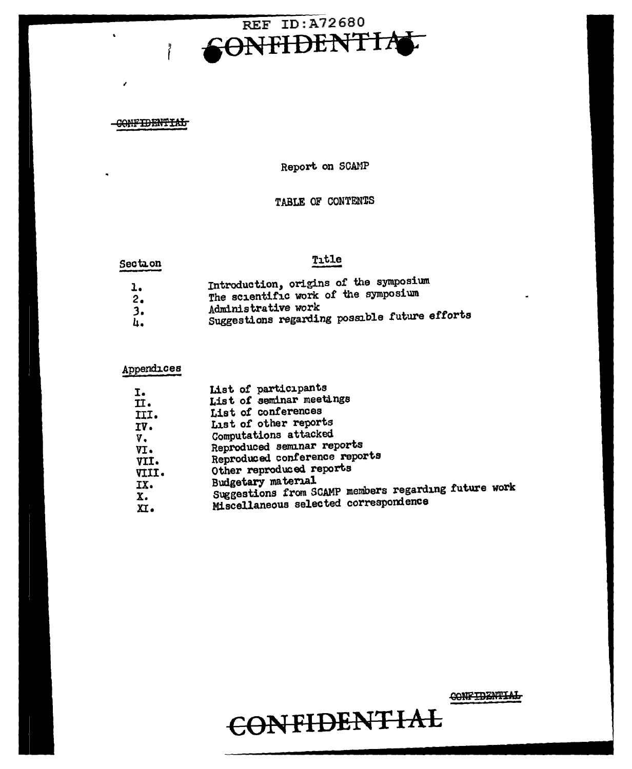

# CONFIDENTIAL

I

 $\ddot{\phantom{a}}$ 

Report. on SCAMP

# TABLE OF CONTENTS

# Section Title

- l. Introduction, origins of the symposium
- 2. The scientific work of the symposium
- *3.*  Administrative work
- 4. Suggestions regarding possible future efforts

# Appendices

| I.<br>II.<br>III.<br>IV.<br>v.<br>VI.<br>VII.<br>VIII. | List of participants<br>List of seminar meetings<br>List of conferences                                                                   |
|--------------------------------------------------------|-------------------------------------------------------------------------------------------------------------------------------------------|
|                                                        | List of other reports<br>Computations attacked<br>Reproduced seminar reports<br>Reproduced conference reports<br>Other reproduced reports |
| IX.<br>χ.<br>$\mathbf{X}$ .                            | Budgetary material<br>Suggestions from SCAMP members regarding future work<br>Miscellaneous selected correspondence                       |

CONFIDENTIAL

# GSN **FIDEN'F IAL**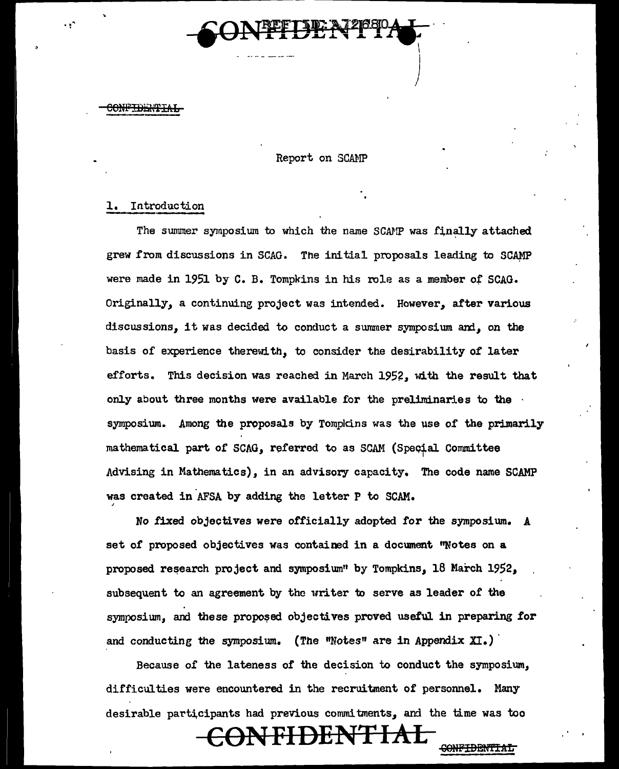

I  $\begin{array}{c} \end{array}$ 

<del>CONFIDENTIAL</del>

## Report on SCAMP

### l. Introduction

The summer symposium to which the name SCAMP was finally attached grew from discussions in SCAG. The initial proposals leading to SCAMP were made in 1951 by C. B. Tompkins in his role as a member of SCAG. Originally, a continuing project was intended. However, after various discussions, it was decided to conduct a summer symposium and, on the basis of experience therewith, to consider the desirability of later efforts. This decision was reached in March 1952, with the result that only about three months were available for the preliminaries to the  $\cdot$ symposiwn. Among the proposals by Tompldns was the use of the primarily mathematical part of SCAG, referred to as SCAM (Special Committee Advising in Mathematics), in an advisory capacity. The code name SCAMP was created in AFSA by adding the letter P to SCAM.

No fixed objectives were officially adopted for the symposium. *A*  set of proposed objectives was contained in a document "Notes on a proposed research project and symposium" by Tompkins, 18 March 1952, subsequent to an agreement by tho writer to serve as leader of the symposium, and these proposed objectives proved useful in preparing for and conducting the symposium. (The "Notes" are in Appendix  $XI$ .)

Because of the lateness of the decision to conduct the symposium,, difficulties were encountered in the recruitment of personnel. Many desirable participants had previous commitments, and the time was too

# <del>CONFIDENTIA</del>

<del>CONFIDENTIAL</del>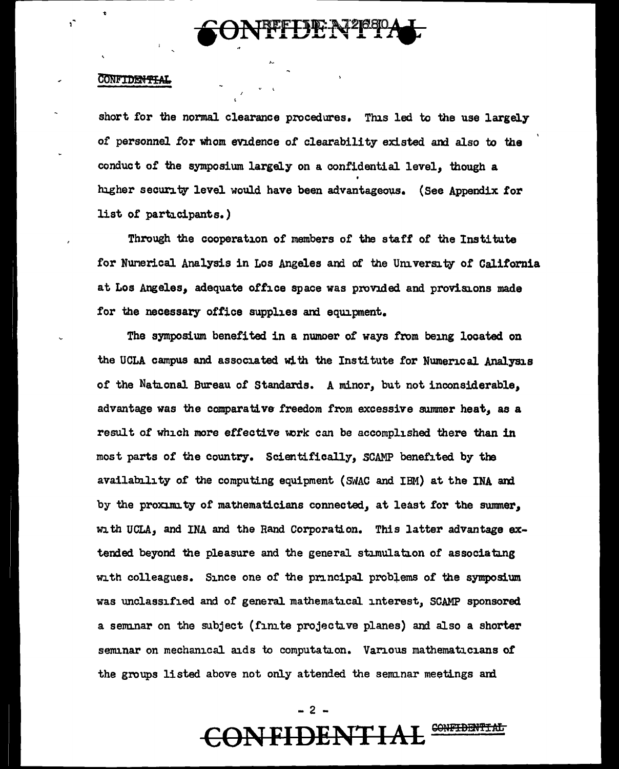

### **CONFIDENTIAL**

h,

short for the normal clearance procedures. This led to the use largely of personnel for whom evidence of clearability existed and also to the conduct of the symposium largely on a confidential level, though a higher security level would have been advantageous. (See Appendix for list of participants.)

Through the cooperation of members of the staff of the Institute for Nunerical Analysis in Los Angeles and of the University of California at Los Angeles, adequate office space was provided and provisions made for the necessary office supplies and equipment.

The symposium benefited in a numoer of ways from being located on the UCLA campus and associated with the Institute for Numerical Analysis of the National Bureau of Standards. A minor, but not inconsiderable, advantage was the comparative freedom from excessive summer heat, as a result of which more effective work can be accomplished there than in most parts of the country. Scientifically, SCAMP benefited by the availability of the computing equipment (SMAC and IBM) at the INA and by the proximity of mathematicians connected, at least for the summer, with UCLA, and INA and the Rand Corporation. This latter advantage extended beyond the pleasure and the general stimulation of associating with colleagues. Since one of the principal problems of the symposium was unclassified and of general mathematical interest, SCAMP sponsored a seminar on the subject (finite projective planes) and also a shorter seminar on mechanical aids to computation. Various mathematicians of the groups listed above not only attended the seminar meetings and

> $-2$  . **CONFIDENTIAL** <del>CONFIDENTIA</del>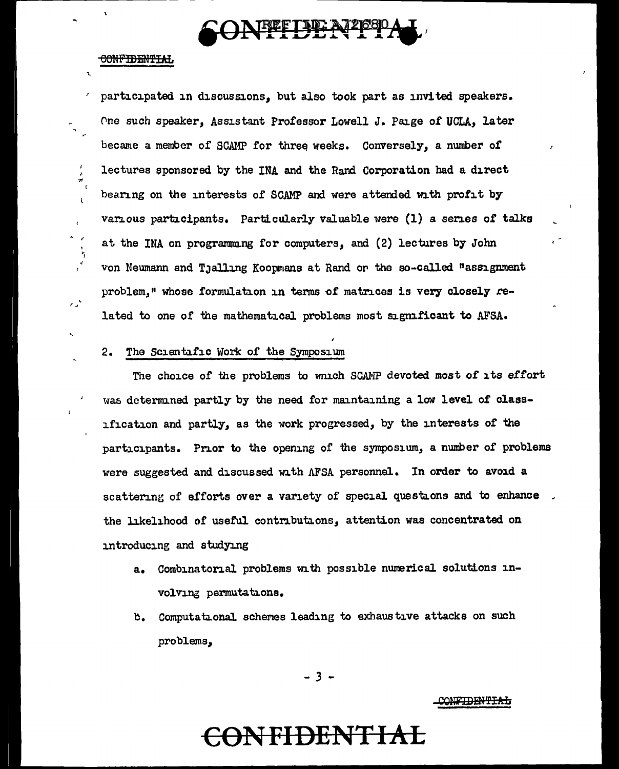

### <del>MITMENTIMOS</del>

 $\mathbf{r}$ 

 $\frac{1}{2}$ 

 $\mathbf{t}$ 

 $\bar{\pmb{\epsilon}}$ 

 $\mathcal{L}_{\mathbf{z}}^{\mathcal{A}}$ 

participated in discussions, but also took part as invited speakers. One such speaker, Assistant Professor Lowell J. Paige of UCLA, later became a member of SCAMP for three weeks. Conversely, a number of lectures sponsored by the INA and the Rand Corporation had a direct bearing on the interests of SCAMP and were attended with profit by various participants. Particularly valuable were (1) a series of talks at the INA on programming for computers, and (2) lectures by John von Neumann and Tjalling Koopmans at Rand or the so-called "assignment problem," whose formulation in terms of matrices is very closely related to one of the mathematical problems most significant to AFSA.

#### $2.$ The Scientific Work of the Symposium

The choice of the problems to which SCAMP devoted most of its effort was determined partly by the need for maintaining a low level of classification and partly, as the work progressed, by the interests of the participants. Prior to the opening of the symposium, a number of problems were suggested and discussed with AFSA personnel. In order to avoid a scattering of efforts over a variety of special questions and to enhance. the likelihood of useful contributions, attention was concentrated on introducing and studying

- Combinatorial problems with possible numerical solutions in $a<sub>z</sub>$ volving permutations.
- b. Computational schemes leading to exhaustive attacks on such problems,

 $-3 -$ 

CONFIDENTIAL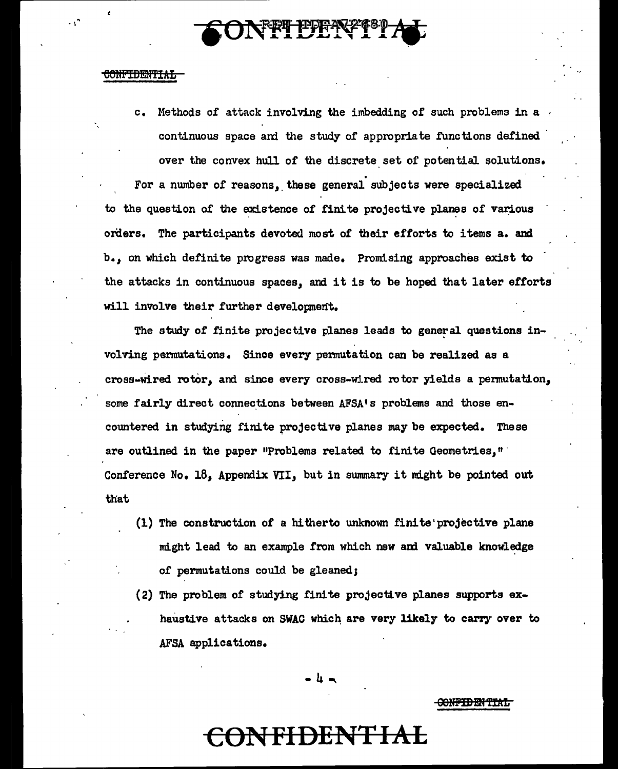# NFT EERYT

### eeMF'iflBM'f!Afi

 $\cdot$   $\cdot$   $\cdot$ 

c. Methods of attack involving the imbedding of such problems in a continuous space and the study of appropriate functions defined over the convex hull of the discrete set of potential solutions.

For a number of reasons, these general subjects were specialized to the question of the existence of finite projective planes of various orders. The participants devoted most of their efforts to items a. and b.,, on which definite progress was made. Promising approaches exist to the attacks in continuous spaces, and it is to be hoped that later efforts will involve their further development.

The study of finite projective planes leads to general questions involving pennutations. Since every pennutation can be realized as a cross-wired rotor, and since every cross-wired rotor yields a permutation, some fairly direct connections between AFSA's problems and those encountered in studying finite projective planes may be expected. These are outlined in the paper "Problems related to finite Geometries," Conference  $No$ . 18, Appendix VII, but in summary it might be pointed out that

- (1) The construction of a hitherto unknown finite'projective plane might lead to an example from which new and valuable knowledge of permutations could be gleaned;
- $(2)$  The problem of studying finite projective planes supports exhaustive attacks on SWAC which are very likely to carry over to AFSA applications.

-4-..

<del>CONFIDENTIAL</del>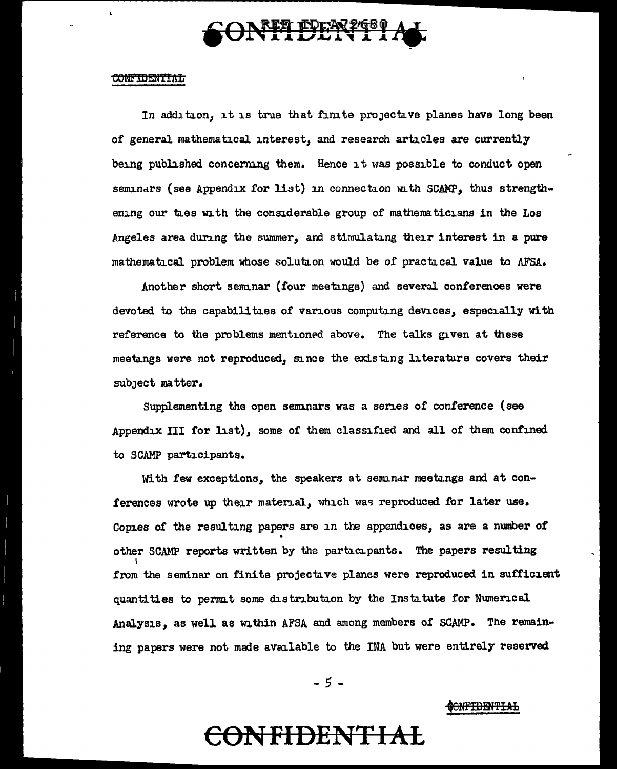

#### <u>CONFIDENTIAL</u>

In addition, it is true that finite projective planes have long been of general mathematical interest, and research articles are currently being published concerning them. Hence it was possible to conduct open seminars (see Appendix for list) in connection with SCAMP, thus strengthening our ties with the considerable group of mathematicians in the Los Angeles area during the summer, and stimulating their interest in a pure mathematical problem whose solution would be of practical value to AFSA.

Another short seminar (four meetings) and several conferences were devoted to the capabilities of various computing devices, especially with reference to the problems mentioned above. The talks given at these meetings were not reproduced, since the existing literature covers their subject matter.

Supplementing the open seminars was a series of conference (see Appendix III for list), some 0£ them classified and all of *them* confined. to SCAMP participants.

With few exceptions, the speakers at seminar meetings and at conferences wrote up their material, which was reproduced for later use. Copies of the resulting papers are in the appendices, as are a number of • other SCAMP reports written by the participants. The papers resulting I from the seminar on finite projectave planes were reproduced in sufficient quantities to permit some distribution by the Institute for Numerical Analysis, as well as within AFSA and among members of SCAMP. The remaining papers were not made available to the INA but were entirely reserved

- 5 -

### <del>ONFIDENTIAL</del>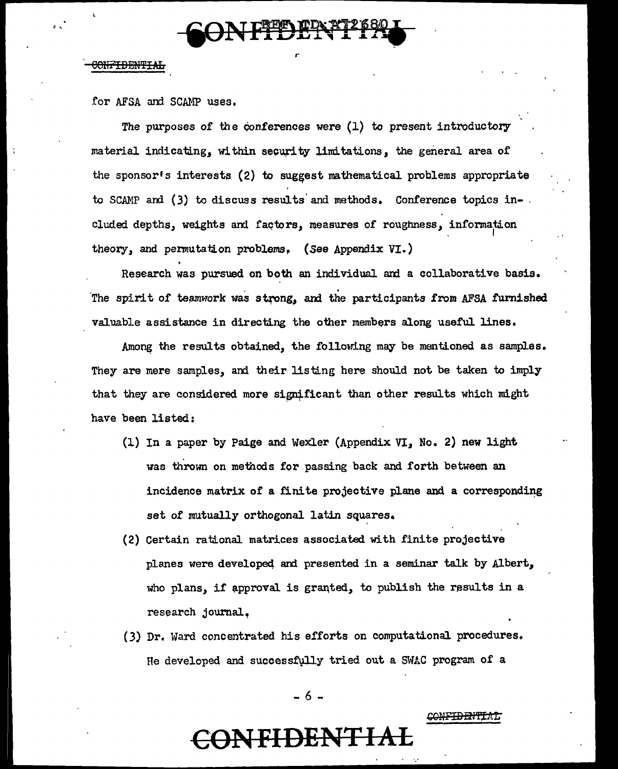

*r* 

# <del>CONFIDENTIAL</del>

. '

for AFSA and SCAMP uses.

The purposes of *the* eonferences were (1) to present introductory material indicating, within security limitations, the general area of the sponsor's interests (2) to suggest mathematical problems appropriate to SCAMP and (3) to discuss results and methods. Conference topics in- . cluded depths, weights and factors, measures of roughness, information theory, and permutation problems. (See Appendix VI.)

Research was pursued on both an individual am a collaborative basis. The spirit of teamwork was strong, and the participants from AFSA furnished valuable assistance in directing the other members along useful lines.

Among the results obtained, the following may be mentioned as samples. They are mere samples, and their listing here should not be taken to imply that they are considered more significant than other results which might have been listed:

- (1) In a paper by Paige and Wexler (Appendix VI, No. 2) new light was thrown on methods for passing back and forth between an incidence matrix of a finite projective plane and a corresponding set *of* mutually orthogonal latin squares.
- (2) Certain rational matrices associated. with finite projective planes were developed and presented in a seminar talk by Albert, who plans, if approval is granted, to publish the results in a research journal.
- (3) Dr. ward concentrated his efforts on computational procedures. He developed and successfully tried out a SWAC program of a

- 6 -

**CONFIDENTIA** 

<del>CONFIDENTIA</del>L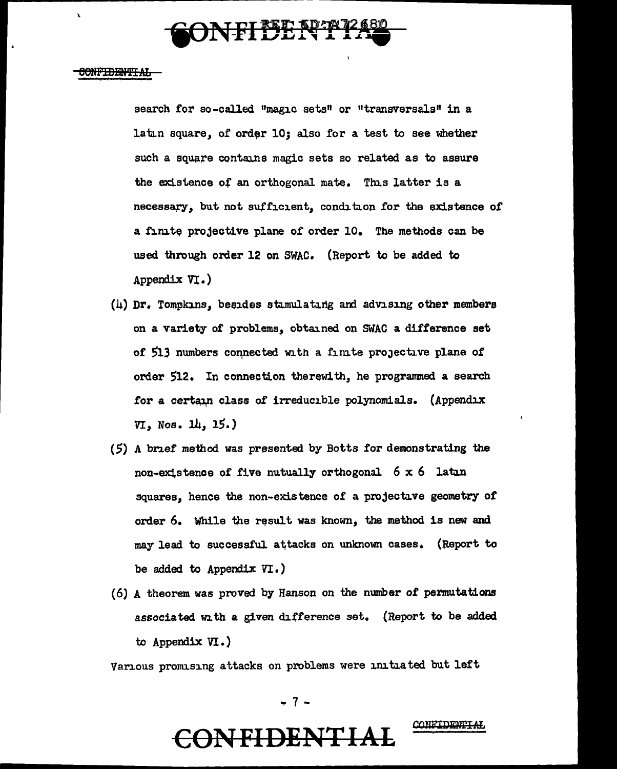

### <del>CONFIDENTIAL</del>

X

search for so-called "magic sets" or "transversals" in a latun square, of order  $10;$  also for a test to see whether such a square contains magic sets so related as to assure the existence of an orthogonal mate. This latter is a necessary, but not sufficient, condition for the existence of a finite projective plane of order 10. The methods can be used through order 12 on SWAC. (Report to be added to Appendix VI.)

- $(h)$  Dr. Tompkins, besides stimulating and advising other members on a variety of problems, obtained on SWAC a difference set of 513 numbers connected with a finite projective plane of order 512. In connection therewith, he programmed a search for a certain class of irreducible polynomials. (Appendix  $VI$ , Nos.  $14$ ,  $15.$ )
- (5) A brief method was presented by Botts for demonstrating the non-existence of five nutually orthogonal.  $6 \times 6$  latin squares, hence the non-existence of a projective geometry of order 6. While the result was known, the method is new and may lead to successful attacks on unknown cases. (Report to be added to Appendix VI. )
- (6) A theorem was proved by Hanson on the number of permutations associated with a given difference set. (Report to be added to Appendix VI.)

Various promising attacks on problems were initiated but left

- 7 -

CONFIDENTIA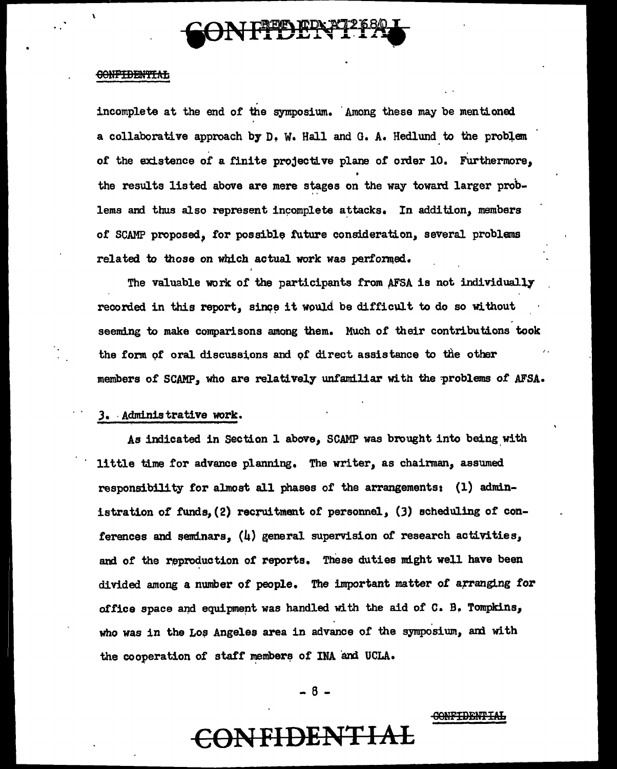

## **GONFIDENTIAL**

 $\mathbf{r}$ 

incomplete at the end of the symposium. Among these may be mentioned a collaborative approach by D, w. Hall and G. A. Hedlund. to the probiem of the existence of a finite projective plane of order 10. Furthermore, the results listed above are mere stages on the way toward larger problems and thus also represent incomplete attacks. In addition, members of SCAMP proposed, for possible future consideration, several problems related to those on which actual work was performed.

The valuable work of the participants from AFSA is not individually recorded in this report, since it would be difficult to do so without seeming to make comparisons among them. Much or their contributions took the form of oral discussions and of direct assistance to the other members of SCAMP, who are relatively unfamiliar with the problems of AFSA.

### J. ·Administrative work.

As indicated in Section 1 above. SCAMP was brought into being with little time for advance planning. The writer, as chairman, assumed responsibility for almost all phases of the arrangements: (1) administration of funds, (2) recruitment of personnel, (3) scheduling of conferences and seminars,  $(l_i)$  general supervision of research activities, and of the reproduction of reports. These duties might well have been divided among a number of people. The important matter of arranging for office space and equipment was handled with the aid of C. B. Tompkins, who was in the Los Angeles area in advance of the symposium, and with the cooperation of staff members of INA and UCLA.

- 8 -

#### CONFIDENTIAL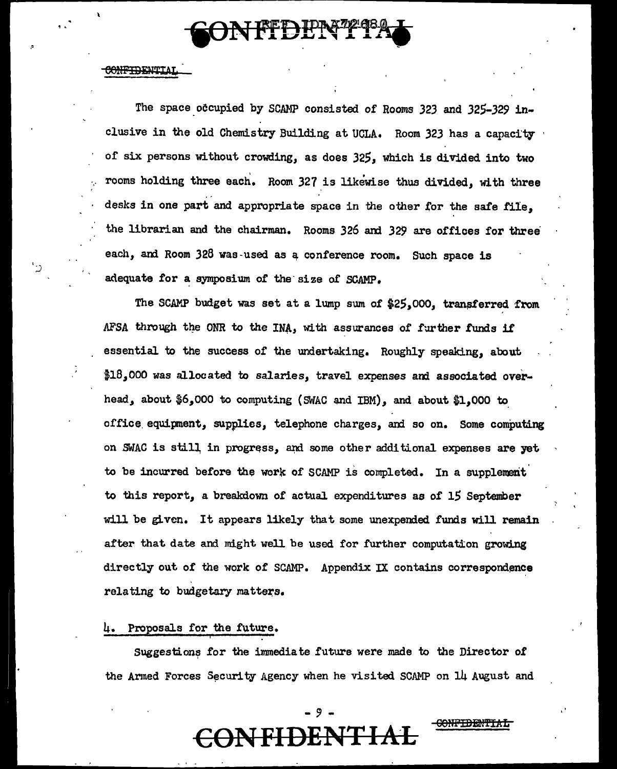

### **CONFIDENTIA**

 $\cdot$  .  $\cdot$   $\cdot$  .

The space occupied by SCAMP consisted of Rooms 323 and 325-329 inclusive in the old Chemistry Building at UCLA. Room 323 has a capacity of six persons without crowding, as does 325, which is divided into two rooms holding three each. Room 327 is likewise thus divided, with three desks in one part and appropriate space in the other for the safe file, the librarian and the chairman. Rooms 326 ani 329 are offices for three each, and Room 328 was-used as a conference room. Such space is adequate for a symposium of the size of SCAMP.

The SCAMP budget was set at a lump sum of \$25,000, transferred from AFSA through the ONR to the INA, with assurances of further funds if essential to the success of the undertaking. Roughly speaking, about \$18,000 was allocated to salaries, travel expenses and associated overhead, about \$6,000 to computing (SWAC and IBM), and about \$1,000 to office equipment, supplies, telephone charges, and so on. Some computing on SWAC is still in progress, and some other additional expenses are yet to be incurred before the work of SCAMP is completed. In a supplement to this report, a breakdown of actual. expenditures as of 15 September will be given. It appears likely that some unexpended funds will remain after that date and might well be used for further computation growing directly out of the work of SCAMP. Appendix IX contains correspondence relating to budgetary matters.

# 4. Proposals for the future.

Suggestions for the immediate future were made to the Director of the Armed Forces Security Agency when he visited SCAMP on 14 August and

- 9 -

CONFIDENTIAL

**EONFIDENT**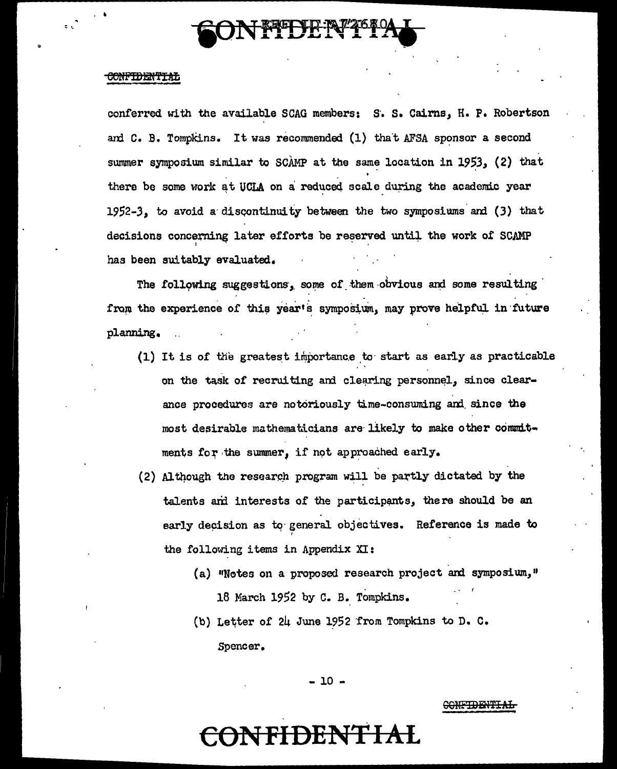

# <del>CONFIDENTIAL</del>

conferred with the available SCAG members: S. S. Cairns, H. P. Robertson and C. B. Tompkins. It was recommended (1) that AFSA sponsor a second summer symposium similar to SCAMP at the same location in 1953, (2) that there be some work at UCLA on a reduced scale during the academic year  $1952-3$ , to avoid a discontinuity between the two symposiums and  $(3)$  that decisions concerning later efforts be reserved until the work of SCAMP has been suitably evaluated.

The following suggestions, some of them obvious and some resulting from the experience of this year's symposium, may prove helpful in future planning.

- (1) It is of the greatest importance to start as early as practicable on the task of recruiting and clearing personnel, since clearance procedures are notoriously time-consuming and since the most desirable mathematicians are likely to make other commitments for the summer, if not approached early.
- (2) Although the research program will be partly dictated by the talents and interests of the participants, there should be an early decision as to general objectives. Reference is made to the following items in Appendix XI:
	- (a) "Notes on a proposed research project and symposium," 18 March 1952 by C. B. Tompkins.
	- (b) Letter of 24 June 1952 from Tompkins to D. C. Spencer.

 $-10 -$ 

### CONFTDENTIAL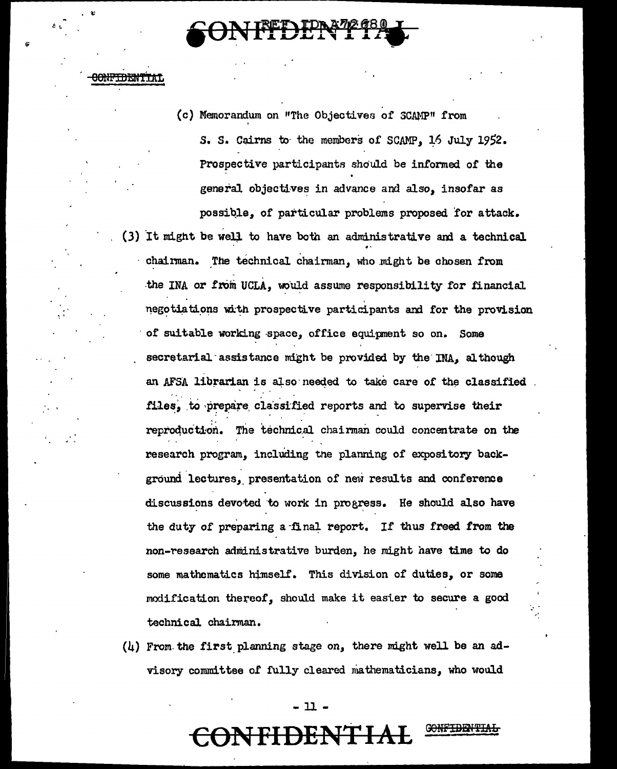<del>CONFIDENTI</del>

(c) Memorandum on "The Objectives of SCAMP" from S. S. Cairns to the members of SCAMP, 16 July 1952. Prospective participants should be informed of the general objectives in advance and also, insofar as possible, of particular problems proposed for attack. (3) It might be well to have both an administrative and a technical

chairman. The technical chairman, who might be chosen from the INA or from UCLA, would assume responsibility for financial negotiations with prospective participants and for the provision of suitable working space, office equipment so on. Some secretarial assistance might be provided by the INA, although an AFSA librarian is also needed to take care of the classified. files, to prepare classified reports and to supervise their reproduction. The technical chairman could concentrate on the research program, including the planning of expository background lectures, presentation of new results and conference discussions devoted to work in progress. He should also have the duty of preparing a final report. If thus freed from the non-research administrative burden, he might have time to do some mathematics himself. This division of duties, or some modification thereof, should make it easier to secure a good technical chairman.

 $(4)$  From the first planning stage on, there might well be an advisory committee of fully cleared mathematicians, who would

### - 11 -

# **)NFIDENTIA**